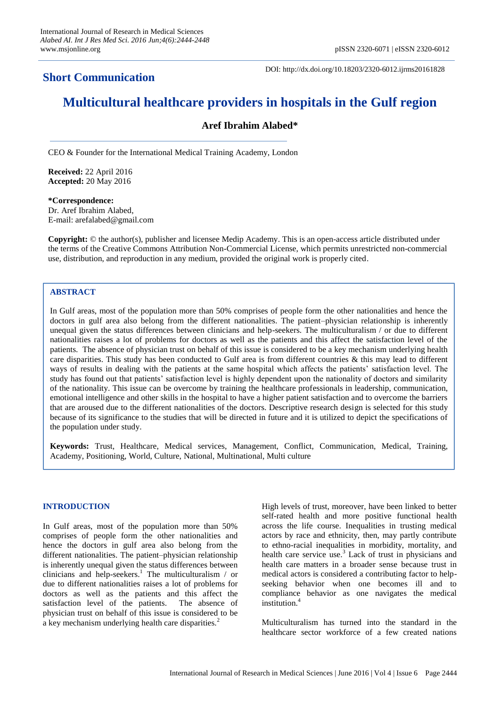# **Short Communication**

DOI: http://dx.doi.org/10.18203/2320-6012.ijrms20161828

# **Multicultural healthcare providers in hospitals in the Gulf region**

# **Aref Ibrahim Alabed\***

CEO & Founder for the International Medical Training Academy, London

**Received:** 22 April 2016 **Accepted:** 20 May 2016

**\*Correspondence:** Dr. Aref Ibrahim Alabed, E-mail: arefalabed@gmail.com

**Copyright:** © the author(s), publisher and licensee Medip Academy. This is an open-access article distributed under the terms of the Creative Commons Attribution Non-Commercial License, which permits unrestricted non-commercial use, distribution, and reproduction in any medium, provided the original work is properly cited.

#### **ABSTRACT**

In Gulf areas, most of the population more than 50% comprises of people form the other nationalities and hence the doctors in gulf area also belong from the different nationalities. The patient–physician relationship is inherently unequal given the status differences between clinicians and help-seekers. The multiculturalism / or due to different nationalities raises a lot of problems for doctors as well as the patients and this affect the satisfaction level of the patients. The absence of physician trust on behalf of this issue is considered to be a key mechanism underlying health care disparities. This study has been conducted to Gulf area is from different countries & this may lead to different ways of results in dealing with the patients at the same hospital which affects the patients' satisfaction level. The study has found out that patients' satisfaction level is highly dependent upon the nationality of doctors and similarity of the nationality. This issue can be overcome by training the healthcare professionals in leadership, communication, emotional intelligence and other skills in the hospital to have a higher patient satisfaction and to overcome the barriers that are aroused due to the different nationalities of the doctors. Descriptive research design is selected for this study because of its significance to the studies that will be directed in future and it is utilized to depict the specifications of the population under study.

**Keywords:** Trust, Healthcare, Medical services, Management, Conflict, Communication, Medical, Training, Academy, Positioning, World, Culture, National, Multinational, Multi culture

#### **INTRODUCTION**

In Gulf areas, most of the population more than 50% comprises of people form the other nationalities and hence the doctors in gulf area also belong from the different nationalities. The patient–physician relationship is inherently unequal given the status differences between clinicians and help-seekers.<sup>1</sup> The multiculturalism / or due to different nationalities raises a lot of problems for doctors as well as the patients and this affect the satisfaction level of the patients. The absence of physician trust on behalf of this issue is considered to be a key mechanism underlying health care disparities.<sup>2</sup>

High levels of trust, moreover, have been linked to better self-rated health and more positive functional health across the life course. Inequalities in trusting medical actors by race and ethnicity, then, may partly contribute to ethno-racial inequalities in morbidity, mortality, and health care service use.<sup>3</sup> Lack of trust in physicians and health care matters in a broader sense because trust in medical actors is considered a contributing factor to helpseeking behavior when one becomes ill and to compliance behavior as one navigates the medical institution.<sup>4</sup>

Multiculturalism has turned into the standard in the healthcare sector workforce of a few created nations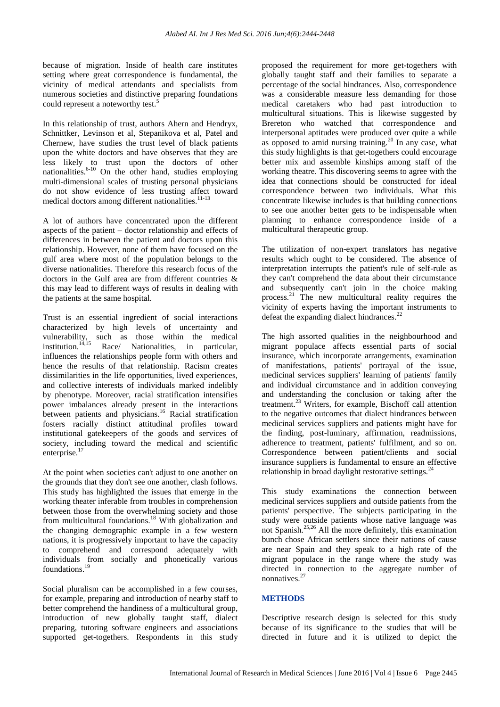because of migration. Inside of health care institutes setting where great correspondence is fundamental, the vicinity of medical attendants and specialists from numerous societies and distinctive preparing foundations could represent a noteworthy test.<sup>5</sup>

In this relationship of trust, authors Ahern and Hendryx, Schnittker, Levinson et al, Stepanikova et al, Patel and Chernew, have studies the trust level of black patients upon the white doctors and have observes that they are less likely to trust upon the doctors of other nationalities. $6-10$  On the other hand, studies employing multi-dimensional scales of trusting personal physicians do not show evidence of less trusting affect toward medical doctors among different nationalities. $11-13$ 

A lot of authors have concentrated upon the different aspects of the patient – doctor relationship and effects of differences in between the patient and doctors upon this relationship. However, none of them have focused on the gulf area where most of the population belongs to the diverse nationalities. Therefore this research focus of the doctors in the Gulf area are from different countries & this may lead to different ways of results in dealing with the patients at the same hospital.

Trust is an essential ingredient of social interactions characterized by high levels of uncertainty and vulnerability, such as those within the medical institution.<sup>14,15</sup> Race/ Nationalities, in particular, influences the relationships people form with others and hence the results of that relationship. Racism creates dissimilarities in the life opportunities, lived experiences, and collective interests of individuals marked indelibly by phenotype. Moreover, racial stratification intensifies power imbalances already present in the interactions between patients and physicians.<sup>16</sup> Racial stratification fosters racially distinct attitudinal profiles toward institutional gatekeepers of the goods and services of society, including toward the medical and scientific enterprise.<sup>17</sup>

At the point when societies can't adjust to one another on the grounds that they don't see one another, clash follows. This study has highlighted the issues that emerge in the working theater inferable from troubles in comprehension between those from the overwhelming society and those from multicultural foundations.<sup>18</sup> With globalization and the changing demographic example in a few western nations, it is progressively important to have the capacity to comprehend and correspond adequately with individuals from socially and phonetically various foundations.<sup>19</sup>

Social pluralism can be accomplished in a few courses, for example, preparing and introduction of nearby staff to better comprehend the handiness of a multicultural group, introduction of new globally taught staff, dialect preparing, tutoring software engineers and associations supported get-togethers. Respondents in this study proposed the requirement for more get-togethers with globally taught staff and their families to separate a percentage of the social hindrances. Also, correspondence was a considerable measure less demanding for those medical caretakers who had past introduction to multicultural situations. This is likewise suggested by Brereton who watched that correspondence and interpersonal aptitudes were produced over quite a while as opposed to amid nursing training.<sup>20</sup> In any case, what this study highlights is that get-togethers could encourage better mix and assemble kinships among staff of the working theatre. This discovering seems to agree with the idea that connections should be constructed for ideal correspondence between two individuals. What this concentrate likewise includes is that building connections to see one another better gets to be indispensable when planning to enhance correspondence inside of a multicultural therapeutic group.

The utilization of non-expert translators has negative results which ought to be considered. The absence of interpretation interrupts the patient's rule of self-rule as they can't comprehend the data about their circumstance and subsequently can't join in the choice making process.<sup>21</sup> The new multicultural reality requires the vicinity of experts having the important instruments to defeat the expanding dialect hindrances.<sup>22</sup>

The high assorted qualities in the neighbourhood and migrant populace affects essential parts of social insurance, which incorporate arrangements, examination of manifestations, patients' portrayal of the issue, medicinal services suppliers' learning of patients' family and individual circumstance and in addition conveying and understanding the conclusion or taking after the treatment.<sup>23</sup> Writers, for example, Bischoff call attention to the negative outcomes that dialect hindrances between medicinal services suppliers and patients might have for the finding, post-luminary, affirmation, readmissions, adherence to treatment, patients' fulfilment, and so on. Correspondence between patient/clients and social insurance suppliers is fundamental to ensure an effective relationship in broad daylight restorative settings. $^{24}$ 

This study examinations the connection between medicinal services suppliers and outside patients from the patients' perspective. The subjects participating in the study were outside patients whose native language was not Spanish.<sup>25,26</sup> All the more definitely, this examination bunch chose African settlers since their nations of cause are near Spain and they speak to a high rate of the migrant populace in the range where the study was directed in connection to the aggregate number of nonnatives.<sup>27</sup>

#### **METHODS**

Descriptive research design is selected for this study because of its significance to the studies that will be directed in future and it is utilized to depict the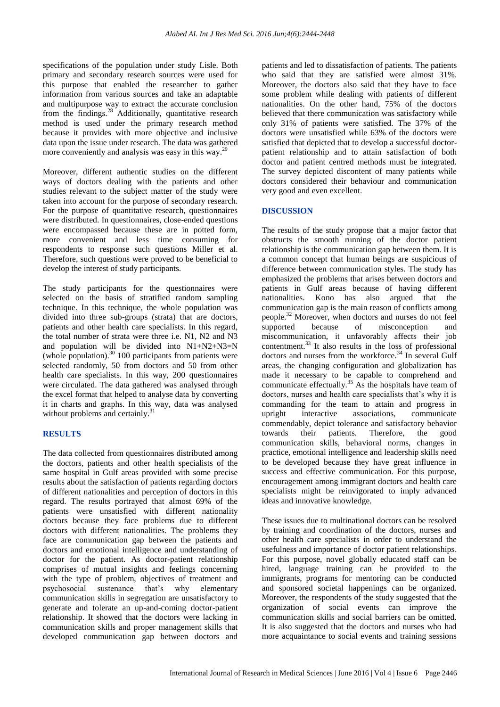specifications of the population under study Lisle. Both primary and secondary research sources were used for this purpose that enabled the researcher to gather information from various sources and take an adaptable and multipurpose way to extract the accurate conclusion from the findings.<sup>28</sup> Additionally, quantitative research method is used under the primary research method because it provides with more objective and inclusive data upon the issue under research. The data was gathered more conveniently and analysis was easy in this way.<sup>29</sup>

Moreover, different authentic studies on the different ways of doctors dealing with the patients and other studies relevant to the subject matter of the study were taken into account for the purpose of secondary research. For the purpose of quantitative research, questionnaires were distributed. In questionnaires, close-ended questions were encompassed because these are in potted form, more convenient and less time consuming for respondents to response such questions Miller et al. Therefore, such questions were proved to be beneficial to develop the interest of study participants.

The study participants for the questionnaires were selected on the basis of stratified random sampling technique. In this technique, the whole population was divided into three sub-groups (strata) that are doctors, patients and other health care specialists. In this regard, the total number of strata were three i.e. N1, N2 and N3 and population will be divided into N1+N2+N3=N (whole population). $^{30}$  100 participants from patients were selected randomly, 50 from doctors and 50 from other health care specialists. In this way, 200 questionnaires were circulated. The data gathered was analysed through the excel format that helped to analyse data by converting it in charts and graphs. In this way, data was analysed without problems and certainly.<sup>31</sup>

# **RESULTS**

The data collected from questionnaires distributed among the doctors, patients and other health specialists of the same hospital in Gulf areas provided with some precise results about the satisfaction of patients regarding doctors of different nationalities and perception of doctors in this regard. The results portrayed that almost 69% of the patients were unsatisfied with different nationality doctors because they face problems due to different doctors with different nationalities. The problems they face are communication gap between the patients and doctors and emotional intelligence and understanding of doctor for the patient. As doctor-patient relationship comprises of mutual insights and feelings concerning with the type of problem, objectives of treatment and psychosocial sustenance that's why elementary communication skills in segregation are unsatisfactory to generate and tolerate an up-and-coming doctor-patient relationship. It showed that the doctors were lacking in communication skills and proper management skills that developed communication gap between doctors and patients and led to dissatisfaction of patients. The patients who said that they are satisfied were almost 31%. Moreover, the doctors also said that they have to face some problem while dealing with patients of different nationalities. On the other hand, 75% of the doctors believed that there communication was satisfactory while only 31% of patients were satisfied. The 37% of the doctors were unsatisfied while 63% of the doctors were satisfied that depicted that to develop a successful doctorpatient relationship and to attain satisfaction of both doctor and patient centred methods must be integrated. The survey depicted discontent of many patients while doctors considered their behaviour and communication very good and even excellent.

# **DISCUSSION**

The results of the study propose that a major factor that obstructs the smooth running of the doctor patient relationship is the communication gap between them. It is a common concept that human beings are suspicious of difference between communication styles. The study has emphasized the problems that arises between doctors and patients in Gulf areas because of having different nationalities. Kono has also argued that the communication gap is the main reason of conflicts among people.<sup>32</sup> Moreover, when doctors and nurses do not feel supported because of misconception and miscommunication, it unfavorably affects their job contentment.<sup>33</sup> It also results in the loss of professional doctors and nurses from the workforce.<sup>34</sup> In several Gulf areas, the changing configuration and globalization has made it necessary to be capable to comprehend and communicate effectually.<sup>35</sup> As the hospitals have team of doctors, nurses and health care specialists that's why it is commanding for the team to attain and progress in upright interactive associations, communicate commendably, depict tolerance and satisfactory behavior towards their patients. Therefore, the good communication skills, behavioral norms, changes in practice, emotional intelligence and leadership skills need to be developed because they have great influence in success and effective communication. For this purpose, encouragement among immigrant doctors and health care specialists might be reinvigorated to imply advanced ideas and innovative knowledge.

These issues due to multinational doctors can be resolved by training and coordination of the doctors, nurses and other health care specialists in order to understand the usefulness and importance of doctor patient relationships. For this purpose, novel globally educated staff can be hired, language training can be provided to the immigrants, programs for mentoring can be conducted and sponsored societal happenings can be organized. Moreover, the respondents of the study suggested that the organization of social events can improve the communication skills and social barriers can be omitted. It is also suggested that the doctors and nurses who had more acquaintance to social events and training sessions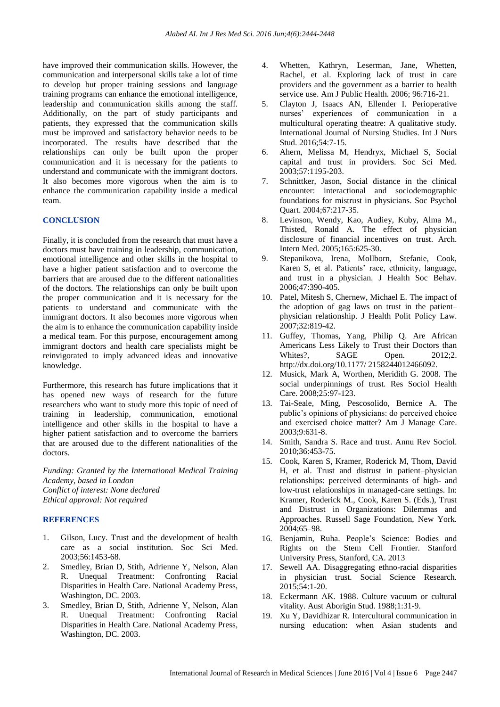have improved their communication skills. However, the communication and interpersonal skills take a lot of time to develop but proper training sessions and language training programs can enhance the emotional intelligence, leadership and communication skills among the staff. Additionally, on the part of study participants and patients, they expressed that the communication skills must be improved and satisfactory behavior needs to be incorporated. The results have described that the relationships can only be built upon the proper communication and it is necessary for the patients to understand and communicate with the immigrant doctors. It also becomes more vigorous when the aim is to enhance the communication capability inside a medical team.

#### **CONCLUSION**

Finally, it is concluded from the research that must have a doctors must have training in leadership, communication, emotional intelligence and other skills in the hospital to have a higher patient satisfaction and to overcome the barriers that are aroused due to the different nationalities of the doctors. The relationships can only be built upon the proper communication and it is necessary for the patients to understand and communicate with the immigrant doctors. It also becomes more vigorous when the aim is to enhance the communication capability inside a medical team. For this purpose, encouragement among immigrant doctors and health care specialists might be reinvigorated to imply advanced ideas and innovative knowledge.

Furthermore, this research has future implications that it has opened new ways of research for the future researchers who want to study more this topic of need of training in leadership, communication, emotional intelligence and other skills in the hospital to have a higher patient satisfaction and to overcome the barriers that are aroused due to the different nationalities of the doctors.

*Funding: Granted by the International Medical Training Academy, based in London Conflict of interest: None declared Ethical approval: Not required*

# **REFERENCES**

- 1. Gilson, Lucy. Trust and the development of health care as a social institution. Soc Sci Med. 2003;56:1453-68.
- 2. Smedley, Brian D, Stith, Adrienne Y, Nelson, Alan R. Unequal Treatment: Confronting Racial Disparities in Health Care. National Academy Press, Washington, DC. 2003.
- 3. Smedley, Brian D, Stith, Adrienne Y, Nelson, Alan R. Unequal Treatment: Confronting Racial Disparities in Health Care. National Academy Press, Washington, DC. 2003.
- 4. Whetten, Kathryn, Leserman, Jane, Whetten, Rachel, et al. Exploring lack of trust in care providers and the government as a barrier to health service use. Am J Public Health. 2006; 96:716-21.
- 5. Clayton J, Isaacs AN, Ellender I. Perioperative nurses' experiences of communication in a multicultural operating theatre: A qualitative study. International Journal of Nursing Studies. Int J Nurs Stud. 2016;54:7-15.
- 6. Ahern, Melissa M, Hendryx, Michael S, Social capital and trust in providers. Soc Sci Med. 2003;57:1195-203.
- 7. Schnittker, Jason, Social distance in the clinical encounter: interactional and sociodemographic foundations for mistrust in physicians. Soc Psychol Quart. 2004;67:217-35.
- 8. Levinson, Wendy, Kao, Audiey, Kuby, Alma M., Thisted, Ronald A. The effect of physician disclosure of financial incentives on trust. Arch. Intern Med. 2005;165:625-30.
- 9. Stepanikova, Irena, Mollborn, Stefanie, Cook, Karen S, et al. Patients' race, ethnicity, language, and trust in a physician. J Health Soc Behav. 2006;47:390-405.
- 10. Patel, Mitesh S, Chernew, Michael E. The impact of the adoption of gag laws on trust in the patient– physician relationship. J Health Polit Policy Law. 2007;32:819-42.
- 11. Guffey, Thomas, Yang, Philip Q. Are African Americans Less Likely to Trust their Doctors than Whites?. SAGE Open. 2012:2. http://dx.doi.org/10.1177/ 2158244012466092.
- 12. Musick, Mark A, Worthen, Meridith G. 2008. The social underpinnings of trust. Res Sociol Health Care. 2008;25:97-123.
- 13. Tai-Seale, Ming, Pescosolido, Bernice A. The public's opinions of physicians: do perceived choice and exercised choice matter? Am J Manage Care. 2003;9:631-8.
- 14. Smith, Sandra S. Race and trust. Annu Rev Sociol. 2010;36:453-75.
- 15. Cook, Karen S, Kramer, Roderick M, Thom, David H, et al. Trust and distrust in patient–physician relationships: perceived determinants of high- and low-trust relationships in managed-care settings. In: Kramer, Roderick M., Cook, Karen S. (Eds.), Trust and Distrust in Organizations: Dilemmas and Approaches. Russell Sage Foundation, New York. 2004;65–98.
- 16. Benjamin, Ruha. People's Science: Bodies and Rights on the Stem Cell Frontier. Stanford University Press, Stanford, CA. 2013
- 17. Sewell AA. Disaggregating ethno-racial disparities in physician trust. Social Science Research. 2015;54:1-20.
- 18. Eckermann AK. 1988. Culture vacuum or cultural vitality. Aust Aborigin Stud. 1988;1:31-9.
- 19. Xu Y, Davidhizar R. Intercultural communication in nursing education: when Asian students and